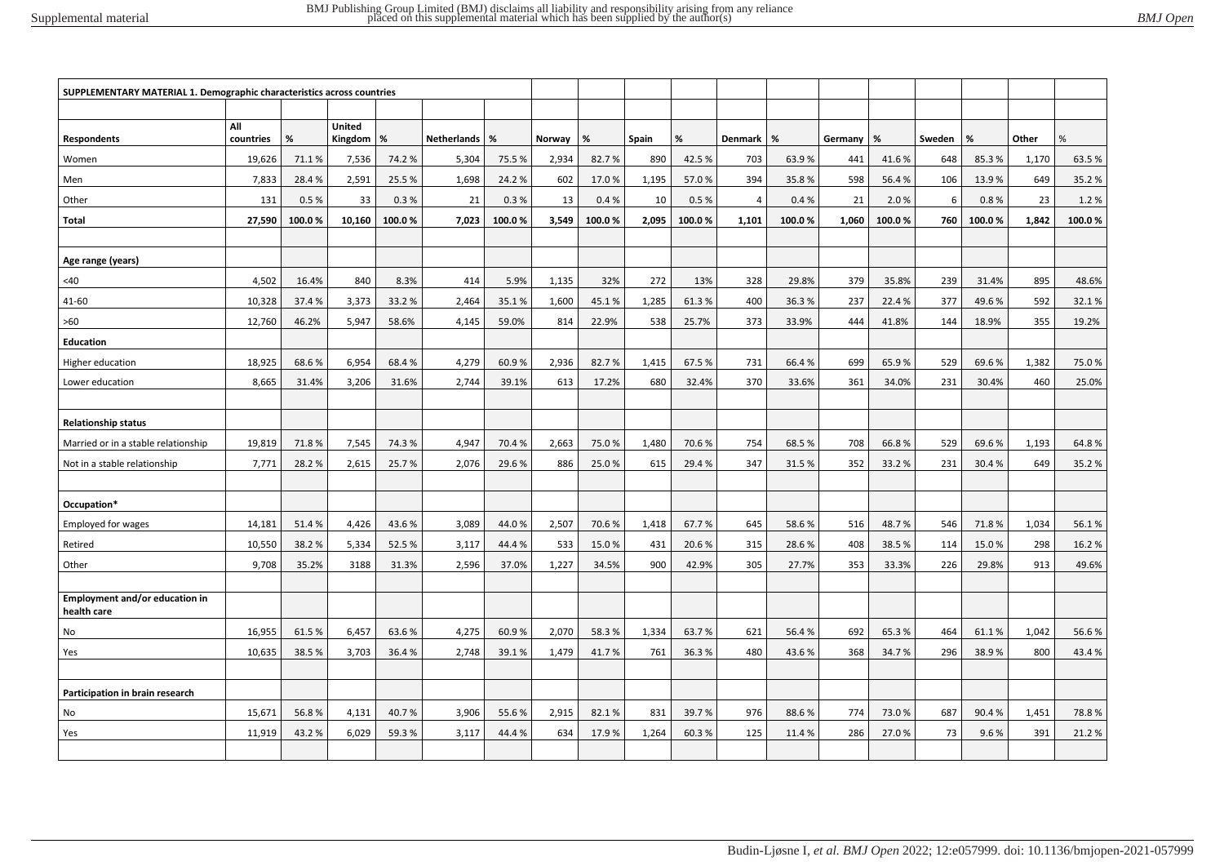| BMJ Open |
|----------|
|          |

|                                               | SUPPLEMENTARY MATERIAL 1. Demographic characteristics across countries |        |                          |        |             |        |        |        |       |        |                |        |         |        |        |        |       |        |
|-----------------------------------------------|------------------------------------------------------------------------|--------|--------------------------|--------|-------------|--------|--------|--------|-------|--------|----------------|--------|---------|--------|--------|--------|-------|--------|
|                                               |                                                                        |        |                          |        |             |        |        |        |       |        |                |        |         |        |        |        |       |        |
| Respondents                                   | All<br>countries                                                       | %      | <b>United</b><br>Kingdom | %      | Netherlands | %      | Norway | %      | Spain | %      | Denmark        | %      | Germany | %      | Sweden | %      | Other | %      |
| Women                                         | 19,626                                                                 | 71.1%  | 7,536                    | 74.2 % | 5,304       | 75.5%  | 2,934  | 82.7%  | 890   | 42.5%  | 703            | 63.9%  | 441     | 41.6%  | 648    | 85.3%  | 1,170 | 63.5%  |
| Men                                           | 7,833                                                                  | 28.4%  | 2,591                    | 25.5%  | 1,698       | 24.2%  | 602    | 17.0%  | 1,195 | 57.0%  | 394            | 35.8%  | 598     | 56.4%  | 106    | 13.9%  | 649   | 35.2%  |
| Other                                         | 131                                                                    | 0.5%   | 33                       | 0.3%   | 21          | 0.3%   | 13     | 0.4%   | 10    | 0.5%   | $\overline{4}$ | 0.4%   | 21      | 2.0%   | 6      | 0.8%   | 23    | 1.2%   |
| Total                                         | 27,590                                                                 | 100.0% | 10,160                   | 100.0% | 7,023       | 100.0% | 3,549  | 100.0% | 2,095 | 100.0% | 1,101          | 100.0% | 1,060   | 100.0% | 760    | 100.0% | 1,842 | 100.0% |
|                                               |                                                                        |        |                          |        |             |        |        |        |       |        |                |        |         |        |        |        |       |        |
| Age range (years)                             |                                                                        |        |                          |        |             |        |        |        |       |        |                |        |         |        |        |        |       |        |
| <40                                           | 4,502                                                                  | 16.4%  | 840                      | 8.3%   | 414         | 5.9%   | 1,135  | 32%    | 272   | 13%    | 328            | 29.8%  | 379     | 35.8%  | 239    | 31.4%  | 895   | 48.6%  |
| 41-60                                         | 10,328                                                                 | 37.4%  | 3,373                    | 33.2%  | 2,464       | 35.1%  | 1,600  | 45.1%  | 1,285 | 61.3%  | 400            | 36.3%  | 237     | 22.4%  | 377    | 49.6%  | 592   | 32.1%  |
| >60                                           | 12,760                                                                 | 46.2%  | 5,947                    | 58.6%  | 4,145       | 59.0%  | 814    | 22.9%  | 538   | 25.7%  | 373            | 33.9%  | 444     | 41.8%  | 144    | 18.9%  | 355   | 19.2%  |
| <b>Education</b>                              |                                                                        |        |                          |        |             |        |        |        |       |        |                |        |         |        |        |        |       |        |
| Higher education                              | 18,925                                                                 | 68.6%  | 6,954                    | 68.4%  | 4,279       | 60.9%  | 2,936  | 82.7%  | 1,415 | 67.5%  | 731            | 66.4%  | 699     | 65.9%  | 529    | 69.6%  | 1,382 | 75.0%  |
| Lower education                               | 8,665                                                                  | 31.4%  | 3,206                    | 31.6%  | 2,744       | 39.1%  | 613    | 17.2%  | 680   | 32.4%  | 370            | 33.6%  | 361     | 34.0%  | 231    | 30.4%  | 460   | 25.0%  |
|                                               |                                                                        |        |                          |        |             |        |        |        |       |        |                |        |         |        |        |        |       |        |
| <b>Relationship status</b>                    |                                                                        |        |                          |        |             |        |        |        |       |        |                |        |         |        |        |        |       |        |
| Married or in a stable relationship           | 19,819                                                                 | 71.8%  | 7,545                    | 74.3%  | 4,947       | 70.4%  | 2,663  | 75.0%  | 1,480 | 70.6%  | 754            | 68.5%  | 708     | 66.8%  | 529    | 69.6%  | 1,193 | 64.8%  |
| Not in a stable relationship                  | 7,771                                                                  | 28.2%  | 2,615                    | 25.7%  | 2,076       | 29.6%  | 886    | 25.0%  | 615   | 29.4%  | 347            | 31.5%  | 352     | 33.2%  | 231    | 30.4%  | 649   | 35.2%  |
|                                               |                                                                        |        |                          |        |             |        |        |        |       |        |                |        |         |        |        |        |       |        |
| Occupation*                                   |                                                                        |        |                          |        |             |        |        |        |       |        |                |        |         |        |        |        |       |        |
| <b>Employed for wages</b>                     | 14,181                                                                 | 51.4%  | 4,426                    | 43.6%  | 3,089       | 44.0%  | 2,507  | 70.6%  | 1,418 | 67.7%  | 645            | 58.6%  | 516     | 48.7%  | 546    | 71.8%  | 1,034 | 56.1%  |
| Retired                                       | 10,550                                                                 | 38.2%  | 5,334                    | 52.5 % | 3,117       | 44.4%  | 533    | 15.0%  | 431   | 20.6%  | 315            | 28.6%  | 408     | 38.5%  | 114    | 15.0%  | 298   | 16.2%  |
| Other                                         | 9,708                                                                  | 35.2%  | 3188                     | 31.3%  | 2,596       | 37.0%  | 1,227  | 34.5%  | 900   | 42.9%  | 305            | 27.7%  | 353     | 33.3%  | 226    | 29.8%  | 913   | 49.6%  |
|                                               |                                                                        |        |                          |        |             |        |        |        |       |        |                |        |         |        |        |        |       |        |
| Employment and/or education in<br>health care |                                                                        |        |                          |        |             |        |        |        |       |        |                |        |         |        |        |        |       |        |
| No                                            | 16,955                                                                 | 61.5%  | 6,457                    | 63.6%  | 4,275       | 60.9%  | 2,070  | 58.3%  | 1,334 | 63.7%  | 621            | 56.4%  | 692     | 65.3%  | 464    | 61.1%  | 1,042 | 56.6%  |
| Yes                                           | 10,635                                                                 | 38.5%  | 3,703                    | 36.4%  | 2,748       | 39.1%  | 1,479  | 41.7%  | 761   | 36.3%  | 480            | 43.6%  | 368     | 34.7%  | 296    | 38.9%  | 800   | 43.4%  |
|                                               |                                                                        |        |                          |        |             |        |        |        |       |        |                |        |         |        |        |        |       |        |
| Participation in brain research               |                                                                        |        |                          |        |             |        |        |        |       |        |                |        |         |        |        |        |       |        |
| No                                            | 15,671                                                                 | 56.8%  | 4,131                    | 40.7%  | 3,906       | 55.6%  | 2,915  | 82.1%  | 831   | 39.7%  | 976            | 88.6%  | 774     | 73.0%  | 687    | 90.4%  | 1,451 | 78.8%  |
| Yes                                           | 11,919                                                                 | 43.2%  | 6,029                    | 59.3%  | 3,117       | 44.4%  | 634    | 17.9%  | 1,264 | 60.3%  | 125            | 11.4%  | 286     | 27.0%  | 73     | 9.6%   | 391   | 21.2%  |
|                                               |                                                                        |        |                          |        |             |        |        |        |       |        |                |        |         |        |        |        |       |        |